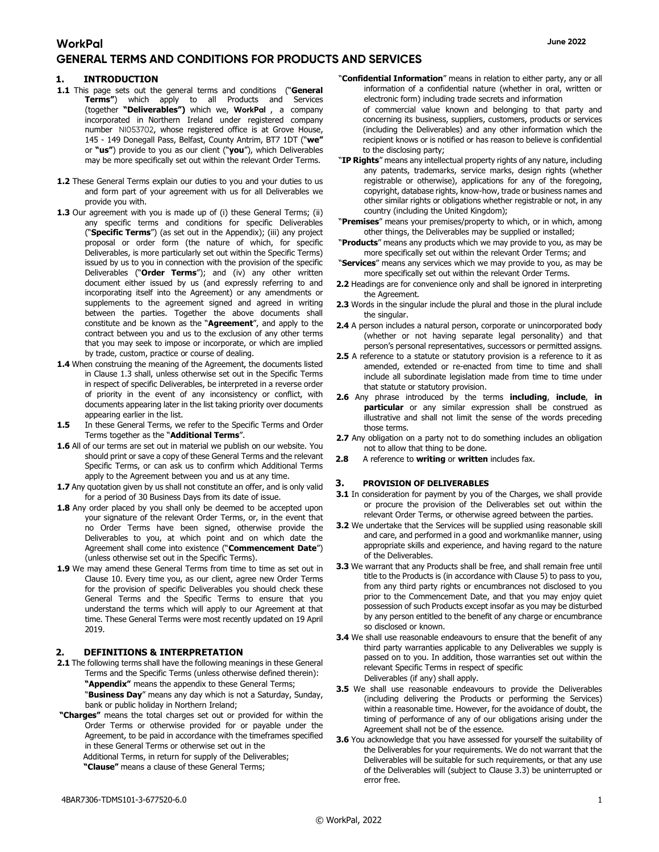## **GENERAL TERMS AND CONDITIONS FOR PRODUCTS AND SERVICES**

#### 1. INTRODUCTION

- 1.1 This page sets out the general terms and conditions ("General Terms") which apply to all Products and Services (together "Deliverables") which we, **WorkPal** , a company incorporated in Northern Ireland under registered company number NI053702, whose registered office is at Grove House, 145 - 149 Donegall Pass, Belfast, County Antrim, BT7 1DT ("we" or "us") provide to you as our client ("you"), which Deliverables may be more specifically set out within the relevant Order Terms.
- 1.2 These General Terms explain our duties to you and your duties to us and form part of your agreement with us for all Deliverables we provide you with.
- 1.3 Our agreement with you is made up of (i) these General Terms; (ii) any specific terms and conditions for specific Deliverables ("Specific Terms") (as set out in the Appendix); (iii) any project proposal or order form (the nature of which, for specific Deliverables, is more particularly set out within the Specific Terms) issued by us to you in connection with the provision of the specific Deliverables ("Order Terms"); and (iv) any other written document either issued by us (and expressly referring to and incorporating itself into the Agreement) or any amendments or supplements to the agreement signed and agreed in writing between the parties. Together the above documents shall constitute and be known as the "Agreement", and apply to the contract between you and us to the exclusion of any other terms that you may seek to impose or incorporate, or which are implied by trade, custom, practice or course of dealing.
- 1.4 When construing the meaning of the Agreement, the documents listed in Clause 1.3 shall, unless otherwise set out in the Specific Terms in respect of specific Deliverables, be interpreted in a reverse order of priority in the event of any inconsistency or conflict, with documents appearing later in the list taking priority over documents appearing earlier in the list.
- 1.5 In these General Terms, we refer to the Specific Terms and Order Terms together as the "Additional Terms".
- 1.6 All of our terms are set out in material we publish on our website. You should print or save a copy of these General Terms and the relevant Specific Terms, or can ask us to confirm which Additional Terms apply to the Agreement between you and us at any time.
- 1.7 Any quotation given by us shall not constitute an offer, and is only valid for a period of 30 Business Days from its date of issue.
- 1.8 Any order placed by you shall only be deemed to be accepted upon your signature of the relevant Order Terms, or, in the event that no Order Terms have been signed, otherwise provide the Deliverables to you, at which point and on which date the Agreement shall come into existence ("Commencement Date") (unless otherwise set out in the Specific Terms).
- 1.9 We may amend these General Terms from time to time as set out in Clause 10. Every time you, as our client, agree new Order Terms for the provision of specific Deliverables you should check these General Terms and the Specific Terms to ensure that you understand the terms which will apply to our Agreement at that time. These General Terms were most recently updated on 19 April 2019.

#### 2. DEFINITIONS & INTERPRETATION

2.1 The following terms shall have the following meanings in these General Terms and the Specific Terms (unless otherwise defined therein): "Appendix" means the appendix to these General Terms;

"Business Day" means any day which is not a Saturday, Sunday, bank or public holiday in Northern Ireland;

- "Charges" means the total charges set out or provided for within the Order Terms or otherwise provided for or payable under the Agreement, to be paid in accordance with the timeframes specified in these General Terms or otherwise set out in the
	- Additional Terms, in return for supply of the Deliverables;

"Clause" means a clause of these General Terms;

"Confidential Information" means in relation to either party, any or all information of a confidential nature (whether in oral, written or electronic form) including trade secrets and information

of commercial value known and belonging to that party and concerning its business, suppliers, customers, products or services (including the Deliverables) and any other information which the recipient knows or is notified or has reason to believe is confidential to the disclosing party;

- "IP Rights" means any intellectual property rights of any nature, including any patents, trademarks, service marks, design rights (whether registrable or otherwise), applications for any of the foregoing, copyright, database rights, know-how, trade or business names and other similar rights or obligations whether registrable or not, in any country (including the United Kingdom);
- "Premises" means your premises/property to which, or in which, among other things, the Deliverables may be supplied or installed;
- "Products" means any products which we may provide to you, as may be more specifically set out within the relevant Order Terms; and
- "Services" means any services which we may provide to you, as may be more specifically set out within the relevant Order Terms.
- 2.2 Headings are for convenience only and shall be ignored in interpreting the Agreement.
- 2.3 Words in the singular include the plural and those in the plural include the singular.
- 2.4 A person includes a natural person, corporate or unincorporated body (whether or not having separate legal personality) and that person's personal representatives, successors or permitted assigns.
- 2.5 A reference to a statute or statutory provision is a reference to it as amended, extended or re-enacted from time to time and shall include all subordinate legislation made from time to time under that statute or statutory provision.
- 2.6 Any phrase introduced by the terms including, include, in particular or any similar expression shall be construed as illustrative and shall not limit the sense of the words preceding those terms.
- 2.7 Any obligation on a party not to do something includes an obligation not to allow that thing to be done.
- 2.8 A reference to writing or written includes fax.

#### 3. PROVISION OF DELIVERABLES

- 3.1 In consideration for payment by you of the Charges, we shall provide or procure the provision of the Deliverables set out within the relevant Order Terms, or otherwise agreed between the parties.
- 3.2 We undertake that the Services will be supplied using reasonable skill and care, and performed in a good and workmanlike manner, using appropriate skills and experience, and having regard to the nature of the Deliverables.
- 3.3 We warrant that any Products shall be free, and shall remain free until title to the Products is (in accordance with Clause 5) to pass to you, from any third party rights or encumbrances not disclosed to you prior to the Commencement Date, and that you may enjoy quiet possession of such Products except insofar as you may be disturbed by any person entitled to the benefit of any charge or encumbrance so disclosed or known.
- 3.4 We shall use reasonable endeavours to ensure that the benefit of any third party warranties applicable to any Deliverables we supply is passed on to you. In addition, those warranties set out within the relevant Specific Terms in respect of specific Deliverables (if any) shall apply.
- **3.5** We shall use reasonable endeavours to provide the Deliverables (including delivering the Products or performing the Services) within a reasonable time. However, for the avoidance of doubt, the timing of performance of any of our obligations arising under the Agreement shall not be of the essence.
- 3.6 You acknowledge that you have assessed for yourself the suitability of the Deliverables for your requirements. We do not warrant that the Deliverables will be suitable for such requirements, or that any use of the Deliverables will (subject to Clause 3.3) be uninterrupted or error free.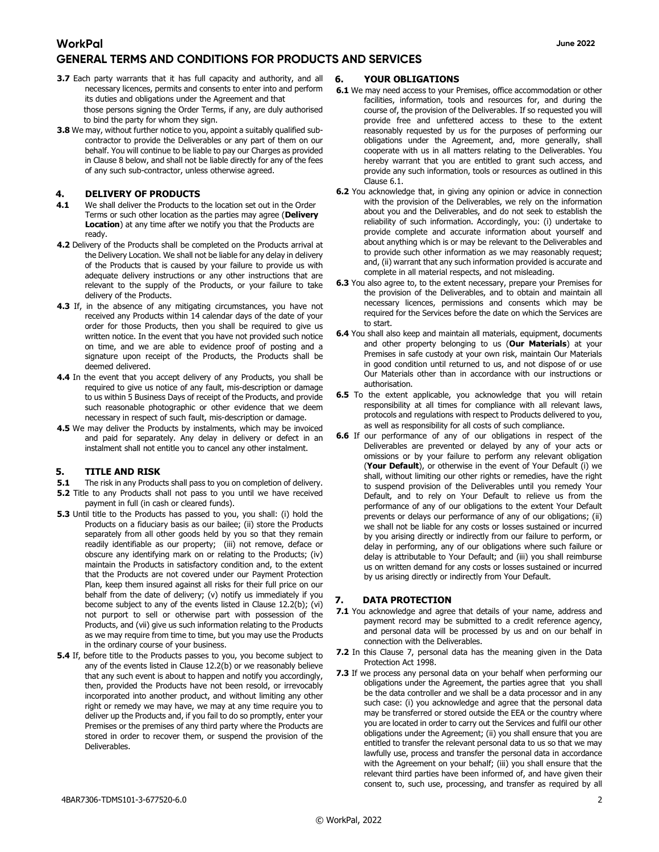- 3.7 Each party warrants that it has full capacity and authority, and all necessary licences, permits and consents to enter into and perform its duties and obligations under the Agreement and that those persons signing the Order Terms, if any, are duly authorised to bind the party for whom they sign.
- 3.8 We may, without further notice to you, appoint a suitably qualified subcontractor to provide the Deliverables or any part of them on our behalf. You will continue to be liable to pay our Charges as provided in Clause 8 below, and shall not be liable directly for any of the fees of any such sub-contractor, unless otherwise agreed.

#### 4. DELIVERY OF PRODUCTS

- **4.1** We shall deliver the Products to the location set out in the Order Terms or such other location as the parties may agree (Delivery Location) at any time after we notify you that the Products are ready.
- 4.2 Delivery of the Products shall be completed on the Products arrival at the Delivery Location. We shall not be liable for any delay in delivery of the Products that is caused by your failure to provide us with adequate delivery instructions or any other instructions that are relevant to the supply of the Products, or your failure to take delivery of the Products.
- 4.3 If, in the absence of any mitigating circumstances, you have not received any Products within 14 calendar days of the date of your order for those Products, then you shall be required to give us written notice. In the event that you have not provided such notice on time, and we are able to evidence proof of posting and a signature upon receipt of the Products, the Products shall be deemed delivered.
- 4.4 In the event that you accept delivery of any Products, you shall be required to give us notice of any fault, mis-description or damage to us within 5 Business Days of receipt of the Products, and provide such reasonable photographic or other evidence that we deem necessary in respect of such fault, mis-description or damage.
- 4.5 We may deliver the Products by instalments, which may be invoiced and paid for separately. Any delay in delivery or defect in an instalment shall not entitle you to cancel any other instalment.

### 5. TITLE AND RISK

- **5.1** The risk in any Products shall pass to you on completion of delivery.
- **5.2** Title to any Products shall not pass to you until we have received payment in full (in cash or cleared funds).
- 5.3 Until title to the Products has passed to you, you shall: (i) hold the Products on a fiduciary basis as our bailee; (ii) store the Products separately from all other goods held by you so that they remain readily identifiable as our property; (iii) not remove, deface or obscure any identifying mark on or relating to the Products; (iv) maintain the Products in satisfactory condition and, to the extent that the Products are not covered under our Payment Protection Plan, keep them insured against all risks for their full price on our behalf from the date of delivery; (v) notify us immediately if you become subject to any of the events listed in Clause 12.2(b); (vi) not purport to sell or otherwise part with possession of the Products, and (vii) give us such information relating to the Products as we may require from time to time, but you may use the Products in the ordinary course of your business.
- **5.4** If, before title to the Products passes to you, you become subject to any of the events listed in Clause 12.2(b) or we reasonably believe that any such event is about to happen and notify you accordingly, then, provided the Products have not been resold, or irrevocably incorporated into another product, and without limiting any other right or remedy we may have, we may at any time require you to deliver up the Products and, if you fail to do so promptly, enter your Premises or the premises of any third party where the Products are stored in order to recover them, or suspend the provision of the Deliverables.

### 6. YOUR OBLIGATIONS

- 6.1 We may need access to your Premises, office accommodation or other facilities, information, tools and resources for, and during the course of, the provision of the Deliverables. If so requested you will provide free and unfettered access to these to the extent reasonably requested by us for the purposes of performing our obligations under the Agreement, and, more generally, shall cooperate with us in all matters relating to the Deliverables. You hereby warrant that you are entitled to grant such access, and provide any such information, tools or resources as outlined in this Clause 6.1.
- 6.2 You acknowledge that, in giving any opinion or advice in connection with the provision of the Deliverables, we rely on the information about you and the Deliverables, and do not seek to establish the reliability of such information. Accordingly, you: (i) undertake to provide complete and accurate information about yourself and about anything which is or may be relevant to the Deliverables and to provide such other information as we may reasonably request; and, (ii) warrant that any such information provided is accurate and complete in all material respects, and not misleading.
- 6.3 You also agree to, to the extent necessary, prepare your Premises for the provision of the Deliverables, and to obtain and maintain all necessary licences, permissions and consents which may be required for the Services before the date on which the Services are to start.
- 6.4 You shall also keep and maintain all materials, equipment, documents and other property belonging to us (Our Materials) at your Premises in safe custody at your own risk, maintain Our Materials in good condition until returned to us, and not dispose of or use Our Materials other than in accordance with our instructions or authorisation.
- **6.5** To the extent applicable, you acknowledge that you will retain responsibility at all times for compliance with all relevant laws, protocols and regulations with respect to Products delivered to you, as well as responsibility for all costs of such compliance.
- 6.6 If our performance of any of our obligations in respect of the Deliverables are prevented or delayed by any of your acts or omissions or by your failure to perform any relevant obligation (Your Default), or otherwise in the event of Your Default (i) we shall, without limiting our other rights or remedies, have the right to suspend provision of the Deliverables until you remedy Your Default, and to rely on Your Default to relieve us from the performance of any of our obligations to the extent Your Default prevents or delays our performance of any of our obligations; (ii) we shall not be liable for any costs or losses sustained or incurred by you arising directly or indirectly from our failure to perform, or delay in performing, any of our obligations where such failure or delay is attributable to Your Default; and (iii) you shall reimburse us on written demand for any costs or losses sustained or incurred by us arising directly or indirectly from Your Default.

### DATA PROTECTION

- 7.1 You acknowledge and agree that details of your name, address and payment record may be submitted to a credit reference agency, and personal data will be processed by us and on our behalf in connection with the Deliverables.
- 7.2 In this Clause 7, personal data has the meaning given in the Data Protection Act 1998.
- 7.3 If we process any personal data on your behalf when performing our obligations under the Agreement, the parties agree that you shall be the data controller and we shall be a data processor and in any such case: (i) you acknowledge and agree that the personal data may be transferred or stored outside the EEA or the country where you are located in order to carry out the Services and fulfil our other obligations under the Agreement; (ii) you shall ensure that you are entitled to transfer the relevant personal data to us so that we may lawfully use, process and transfer the personal data in accordance with the Agreement on your behalf; (iii) you shall ensure that the relevant third parties have been informed of, and have given their consent to, such use, processing, and transfer as required by all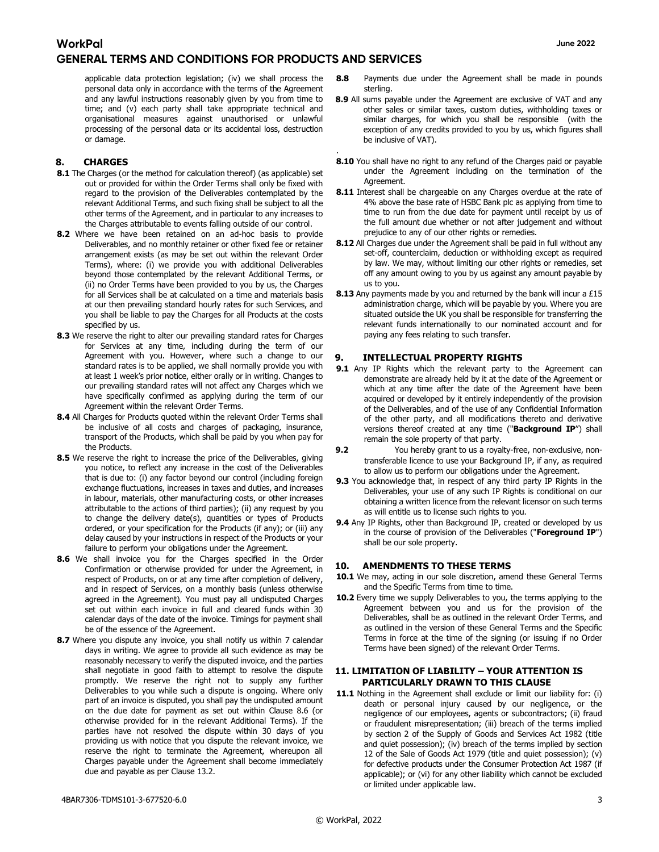applicable data protection legislation; (iv) we shall process the personal data only in accordance with the terms of the Agreement and any lawful instructions reasonably given by you from time to time; and (v) each party shall take appropriate technical and organisational measures against unauthorised or unlawful processing of the personal data or its accidental loss, destruction or damage.

#### 8. CHARGES

- 8.1 The Charges (or the method for calculation thereof) (as applicable) set out or provided for within the Order Terms shall only be fixed with regard to the provision of the Deliverables contemplated by the relevant Additional Terms, and such fixing shall be subject to all the other terms of the Agreement, and in particular to any increases to the Charges attributable to events falling outside of our control.
- 8.2 Where we have been retained on an ad-hoc basis to provide Deliverables, and no monthly retainer or other fixed fee or retainer arrangement exists (as may be set out within the relevant Order Terms), where: (i) we provide you with additional Deliverables beyond those contemplated by the relevant Additional Terms, or (ii) no Order Terms have been provided to you by us, the Charges for all Services shall be at calculated on a time and materials basis at our then prevailing standard hourly rates for such Services, and you shall be liable to pay the Charges for all Products at the costs specified by us.
- 8.3 We reserve the right to alter our prevailing standard rates for Charges for Services at any time, including during the term of our Agreement with you. However, where such a change to our standard rates is to be applied, we shall normally provide you with at least 1 week's prior notice, either orally or in writing. Changes to our prevailing standard rates will not affect any Charges which we have specifically confirmed as applying during the term of our Agreement within the relevant Order Terms.
- 8.4 All Charges for Products quoted within the relevant Order Terms shall be inclusive of all costs and charges of packaging, insurance, transport of the Products, which shall be paid by you when pay for the Products.
- 8.5 We reserve the right to increase the price of the Deliverables, giving you notice, to reflect any increase in the cost of the Deliverables that is due to: (i) any factor beyond our control (including foreign exchange fluctuations, increases in taxes and duties, and increases in labour, materials, other manufacturing costs, or other increases attributable to the actions of third parties); (ii) any request by you to change the delivery date(s), quantities or types of Products ordered, or your specification for the Products (if any); or (iii) any delay caused by your instructions in respect of the Products or your failure to perform your obligations under the Agreement.
- 8.6 We shall invoice you for the Charges specified in the Order Confirmation or otherwise provided for under the Agreement, in respect of Products, on or at any time after completion of delivery, and in respect of Services, on a monthly basis (unless otherwise agreed in the Agreement). You must pay all undisputed Charges set out within each invoice in full and cleared funds within 30 calendar days of the date of the invoice. Timings for payment shall be of the essence of the Agreement.
- 8.7 Where you dispute any invoice, you shall notify us within 7 calendar days in writing. We agree to provide all such evidence as may be reasonably necessary to verify the disputed invoice, and the parties shall negotiate in good faith to attempt to resolve the dispute promptly. We reserve the right not to supply any further Deliverables to you while such a dispute is ongoing. Where only part of an invoice is disputed, you shall pay the undisputed amount on the due date for payment as set out within Clause 8.6 (or otherwise provided for in the relevant Additional Terms). If the parties have not resolved the dispute within 30 days of you providing us with notice that you dispute the relevant invoice, we reserve the right to terminate the Agreement, whereupon all Charges payable under the Agreement shall become immediately due and payable as per Clause 13.2.
- 8.8 Payments due under the Agreement shall be made in pounds sterling.
- 8.9 All sums payable under the Agreement are exclusive of VAT and any other sales or similar taxes, custom duties, withholding taxes or similar charges, for which you shall be responsible (with the exception of any credits provided to you by us, which figures shall be inclusive of VAT).
- . 8.10 You shall have no right to any refund of the Charges paid or payable under the Agreement including on the termination of the Agreement.
- 8.11 Interest shall be chargeable on any Charges overdue at the rate of 4% above the base rate of HSBC Bank plc as applying from time to time to run from the due date for payment until receipt by us of the full amount due whether or not after judgement and without prejudice to any of our other rights or remedies.
- 8.12 All Charges due under the Agreement shall be paid in full without any set-off, counterclaim, deduction or withholding except as required by law. We may, without limiting our other rights or remedies, set off any amount owing to you by us against any amount payable by us to you.
- 8.13 Any payments made by you and returned by the bank will incur a £15 administration charge, which will be payable by you. Where you are situated outside the UK you shall be responsible for transferring the relevant funds internationally to our nominated account and for paying any fees relating to such transfer.

#### 9. INTELLECTUAL PROPERTY RIGHTS

- 9.1 Any IP Rights which the relevant party to the Agreement can demonstrate are already held by it at the date of the Agreement or which at any time after the date of the Agreement have been acquired or developed by it entirely independently of the provision of the Deliverables, and of the use of any Confidential Information of the other party, and all modifications thereto and derivative versions thereof created at any time ("Background IP") shall remain the sole property of that party.
- 9.2 You hereby grant to us a royalty-free, non-exclusive, nontransferable licence to use your Background IP, if any, as required to allow us to perform our obligations under the Agreement.
- 9.3 You acknowledge that, in respect of any third party IP Rights in the Deliverables, your use of any such IP Rights is conditional on our obtaining a written licence from the relevant licensor on such terms as will entitle us to license such rights to you.
- 9.4 Any IP Rights, other than Background IP, created or developed by us in the course of provision of the Deliverables ("Foreground IP") shall be our sole property.

#### 10. AMENDMENTS TO THESE TERMS

- 10.1 We may, acting in our sole discretion, amend these General Terms and the Specific Terms from time to time.
- 10.2 Every time we supply Deliverables to you, the terms applying to the Agreement between you and us for the provision of the Deliverables, shall be as outlined in the relevant Order Terms, and as outlined in the version of these General Terms and the Specific Terms in force at the time of the signing (or issuing if no Order Terms have been signed) of the relevant Order Terms.

#### 11. LIMITATION OF LIABILITY – YOUR ATTENTION IS PARTICULARLY DRAWN TO THIS CLAUSE

11.1 Nothing in the Agreement shall exclude or limit our liability for: (i) death or personal injury caused by our negligence, or the negligence of our employees, agents or subcontractors; (ii) fraud or fraudulent misrepresentation; (iii) breach of the terms implied by section 2 of the Supply of Goods and Services Act 1982 (title and quiet possession); (iv) breach of the terms implied by section 12 of the Sale of Goods Act 1979 (title and quiet possession); (v) for defective products under the Consumer Protection Act 1987 (if applicable); or (vi) for any other liability which cannot be excluded or limited under applicable law.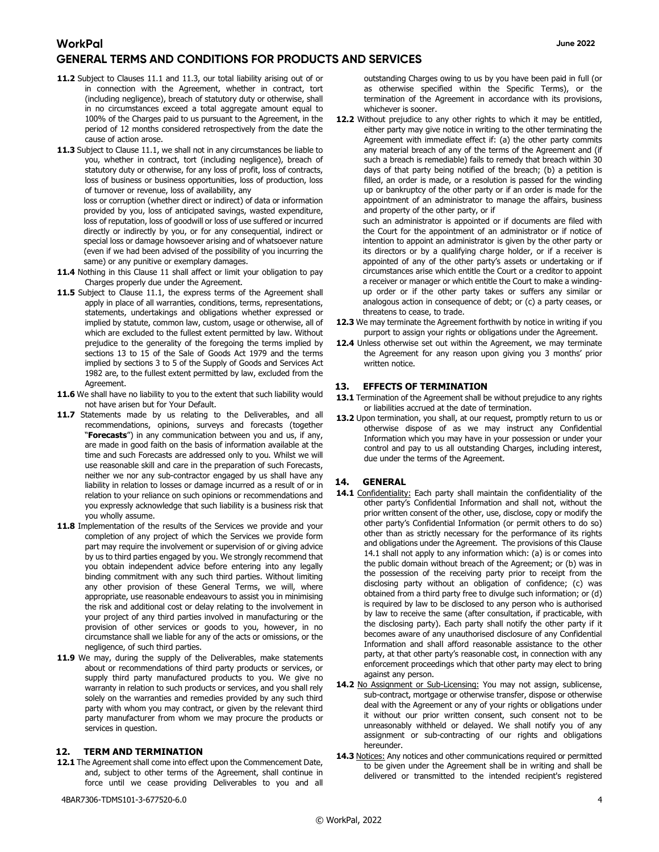- 11.2 Subject to Clauses 11.1 and 11.3, our total liability arising out of or in connection with the Agreement, whether in contract, tort (including negligence), breach of statutory duty or otherwise, shall in no circumstances exceed a total aggregate amount equal to 100% of the Charges paid to us pursuant to the Agreement, in the period of 12 months considered retrospectively from the date the cause of action arose.
- 11.3 Subject to Clause 11.1, we shall not in any circumstances be liable to you, whether in contract, tort (including negligence), breach of statutory duty or otherwise, for any loss of profit, loss of contracts, loss of business or business opportunities, loss of production, loss of turnover or revenue, loss of availability, any

loss or corruption (whether direct or indirect) of data or information provided by you, loss of anticipated savings, wasted expenditure, loss of reputation, loss of goodwill or loss of use suffered or incurred directly or indirectly by you, or for any consequential, indirect or special loss or damage howsoever arising and of whatsoever nature (even if we had been advised of the possibility of you incurring the same) or any punitive or exemplary damages.

- 11.4 Nothing in this Clause 11 shall affect or limit your obligation to pay Charges properly due under the Agreement.
- 11.5 Subject to Clause 11.1, the express terms of the Agreement shall apply in place of all warranties, conditions, terms, representations, statements, undertakings and obligations whether expressed or implied by statute, common law, custom, usage or otherwise, all of which are excluded to the fullest extent permitted by law. Without prejudice to the generality of the foregoing the terms implied by sections 13 to 15 of the Sale of Goods Act 1979 and the terms implied by sections 3 to 5 of the Supply of Goods and Services Act 1982 are, to the fullest extent permitted by law, excluded from the Agreement.
- 11.6 We shall have no liability to you to the extent that such liability would not have arisen but for Your Default.
- 11.7 Statements made by us relating to the Deliverables, and all recommendations, opinions, surveys and forecasts (together "**Forecasts**") in any communication between you and us, if any, are made in good faith on the basis of information available at the time and such Forecasts are addressed only to you. Whilst we will use reasonable skill and care in the preparation of such Forecasts, neither we nor any sub-contractor engaged by us shall have any liability in relation to losses or damage incurred as a result of or in relation to your reliance on such opinions or recommendations and you expressly acknowledge that such liability is a business risk that you wholly assume.
- 11.8 Implementation of the results of the Services we provide and your completion of any project of which the Services we provide form part may require the involvement or supervision of or giving advice by us to third parties engaged by you. We strongly recommend that you obtain independent advice before entering into any legally binding commitment with any such third parties. Without limiting any other provision of these General Terms, we will, where appropriate, use reasonable endeavours to assist you in minimising the risk and additional cost or delay relating to the involvement in your project of any third parties involved in manufacturing or the provision of other services or goods to you, however, in no circumstance shall we liable for any of the acts or omissions, or the negligence, of such third parties.
- 11.9 We may, during the supply of the Deliverables, make statements about or recommendations of third party products or services, or supply third party manufactured products to you. We give no warranty in relation to such products or services, and you shall rely solely on the warranties and remedies provided by any such third party with whom you may contract, or given by the relevant third party manufacturer from whom we may procure the products or services in question.

#### 12. TERM AND TERMINATION

12.1 The Agreement shall come into effect upon the Commencement Date, and, subject to other terms of the Agreement, shall continue in force until we cease providing Deliverables to you and all

4BAR7306-TDMS101-3-677520-6.0 4

outstanding Charges owing to us by you have been paid in full (or as otherwise specified within the Specific Terms), or the termination of the Agreement in accordance with its provisions, whichever is sooner.

12.2 Without prejudice to any other rights to which it may be entitled, either party may give notice in writing to the other terminating the Agreement with immediate effect if: (a) the other party commits any material breach of any of the terms of the Agreement and (if such a breach is remediable) fails to remedy that breach within 30 days of that party being notified of the breach; (b) a petition is filled, an order is made, or a resolution is passed for the winding up or bankruptcy of the other party or if an order is made for the appointment of an administrator to manage the affairs, business and property of the other party, or if

such an administrator is appointed or if documents are filed with the Court for the appointment of an administrator or if notice of intention to appoint an administrator is given by the other party or its directors or by a qualifying charge holder, or if a receiver is appointed of any of the other party's assets or undertaking or if circumstances arise which entitle the Court or a creditor to appoint a receiver or manager or which entitle the Court to make a windingup order or if the other party takes or suffers any similar or analogous action in consequence of debt; or (c) a party ceases, or threatens to cease, to trade.

- 12.3 We may terminate the Agreement forthwith by notice in writing if you purport to assign your rights or obligations under the Agreement.
- 12.4 Unless otherwise set out within the Agreement, we may terminate the Agreement for any reason upon giving you 3 months' prior written notice.

#### 13. EFFECTS OF TERMINATION

- 13.1 Termination of the Agreement shall be without prejudice to any rights or liabilities accrued at the date of termination.
- 13.2 Upon termination, you shall, at our request, promptly return to us or otherwise dispose of as we may instruct any Confidential Information which you may have in your possession or under your control and pay to us all outstanding Charges, including interest, due under the terms of the Agreement.

#### 14. GENERAL

- 14.1 Confidentiality: Each party shall maintain the confidentiality of the other party's Confidential Information and shall not, without the prior written consent of the other, use, disclose, copy or modify the other party's Confidential Information (or permit others to do so) other than as strictly necessary for the performance of its rights and obligations under the Agreement. The provisions of this Clause 14.1 shall not apply to any information which: (a) is or comes into the public domain without breach of the Agreement; or (b) was in the possession of the receiving party prior to receipt from the disclosing party without an obligation of confidence; (c) was obtained from a third party free to divulge such information; or (d) is required by law to be disclosed to any person who is authorised by law to receive the same (after consultation, if practicable, with the disclosing party). Each party shall notify the other party if it becomes aware of any unauthorised disclosure of any Confidential Information and shall afford reasonable assistance to the other party, at that other party's reasonable cost, in connection with any enforcement proceedings which that other party may elect to bring against any person.
- 14.2 No Assignment or Sub-Licensing: You may not assign, sublicense, sub-contract, mortgage or otherwise transfer, dispose or otherwise deal with the Agreement or any of your rights or obligations under it without our prior written consent, such consent not to be unreasonably withheld or delayed. We shall notify you of any assignment or sub-contracting of our rights and obligations hereunder.
- 14.3 Notices: Any notices and other communications required or permitted to be given under the Agreement shall be in writing and shall be delivered or transmitted to the intended recipient's registered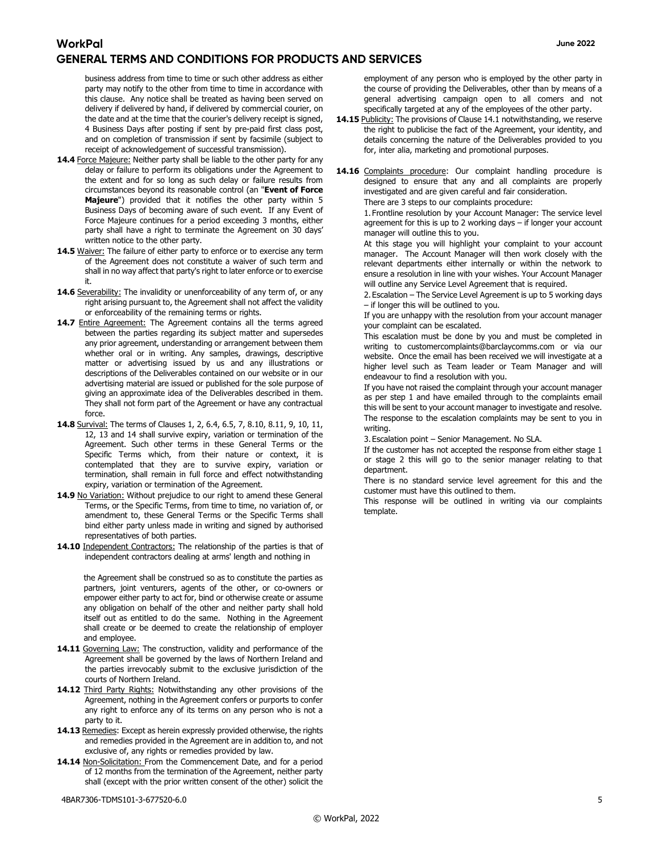business address from time to time or such other address as either party may notify to the other from time to time in accordance with this clause. Any notice shall be treated as having been served on delivery if delivered by hand, if delivered by commercial courier, on the date and at the time that the courier's delivery receipt is signed, 4 Business Days after posting if sent by pre-paid first class post, and on completion of transmission if sent by facsimile (subject to receipt of acknowledgement of successful transmission).

- 14.4 Force Majeure: Neither party shall be liable to the other party for any delay or failure to perform its obligations under the Agreement to the extent and for so long as such delay or failure results from circumstances beyond its reasonable control (an "Event of Force Majeure") provided that it notifies the other party within 5 Business Days of becoming aware of such event. If any Event of Force Majeure continues for a period exceeding 3 months, either party shall have a right to terminate the Agreement on 30 days' written notice to the other party.
- 14.5 Waiver: The failure of either party to enforce or to exercise any term of the Agreement does not constitute a waiver of such term and shall in no way affect that party's right to later enforce or to exercise it.
- 14.6 Severability: The invalidity or unenforceability of any term of, or any right arising pursuant to, the Agreement shall not affect the validity or enforceability of the remaining terms or rights.
- 14.7 Entire Agreement: The Agreement contains all the terms agreed between the parties regarding its subject matter and supersedes any prior agreement, understanding or arrangement between them whether oral or in writing. Any samples, drawings, descriptive matter or advertising issued by us and any illustrations or descriptions of the Deliverables contained on our website or in our advertising material are issued or published for the sole purpose of giving an approximate idea of the Deliverables described in them. They shall not form part of the Agreement or have any contractual force.
- 14.8 Survival: The terms of Clauses 1, 2, 6.4, 6.5, 7, 8.10, 8.11, 9, 10, 11, 12, 13 and 14 shall survive expiry, variation or termination of the Agreement. Such other terms in these General Terms or the Specific Terms which, from their nature or context, it is contemplated that they are to survive expiry, variation or termination, shall remain in full force and effect notwithstanding expiry, variation or termination of the Agreement.
- 14.9 No Variation: Without prejudice to our right to amend these General Terms, or the Specific Terms, from time to time, no variation of, or amendment to, these General Terms or the Specific Terms shall bind either party unless made in writing and signed by authorised representatives of both parties.
- 14.10 Independent Contractors: The relationship of the parties is that of independent contractors dealing at arms' length and nothing in

the Agreement shall be construed so as to constitute the parties as partners, joint venturers, agents of the other, or co-owners or empower either party to act for, bind or otherwise create or assume any obligation on behalf of the other and neither party shall hold itself out as entitled to do the same. Nothing in the Agreement shall create or be deemed to create the relationship of employer and employee.

- 14.11 Governing Law: The construction, validity and performance of the Agreement shall be governed by the laws of Northern Ireland and the parties irrevocably submit to the exclusive jurisdiction of the courts of Northern Ireland.
- 14.12 Third Party Rights: Notwithstanding any other provisions of the Agreement, nothing in the Agreement confers or purports to confer any right to enforce any of its terms on any person who is not a party to it.
- 14.13 Remedies: Except as herein expressly provided otherwise, the rights and remedies provided in the Agreement are in addition to, and not exclusive of, any rights or remedies provided by law.
- 14.14 Non-Solicitation: From the Commencement Date, and for a period of 12 months from the termination of the Agreement, neither party shall (except with the prior written consent of the other) solicit the

employment of any person who is employed by the other party in the course of providing the Deliverables, other than by means of a general advertising campaign open to all comers and not specifically targeted at any of the employees of the other party.

- 14.15 Publicity: The provisions of Clause 14.1 notwithstanding, we reserve the right to publicise the fact of the Agreement, your identity, and details concerning the nature of the Deliverables provided to you for, inter alia, marketing and promotional purposes.
- 14.16 Complaints procedure: Our complaint handling procedure is designed to ensure that any and all complaints are properly investigated and are given careful and fair consideration. There are 3 steps to our complaints procedure:

1. Frontline resolution by your Account Manager: The service level agreement for this is up to 2 working days – if longer your account manager will outline this to you.

At this stage you will highlight your complaint to your account manager. The Account Manager will then work closely with the relevant departments either internally or within the network to ensure a resolution in line with your wishes. Your Account Manager will outline any Service Level Agreement that is required.

2. Escalation – The Service Level Agreement is up to 5 working days – if longer this will be outlined to you.

If you are unhappy with the resolution from your account manager your complaint can be escalated.

This escalation must be done by you and must be completed in writing to customercomplaints@barclaycomms.com or via our website. Once the email has been received we will investigate at a higher level such as Team leader or Team Manager and will endeavour to find a resolution with you.

If you have not raised the complaint through your account manager as per step 1 and have emailed through to the complaints email this will be sent to your account manager to investigate and resolve. The response to the escalation complaints may be sent to you in writing.

3. Escalation point – Senior Management. No SLA.

If the customer has not accepted the response from either stage 1 or stage 2 this will go to the senior manager relating to that department.

There is no standard service level agreement for this and the customer must have this outlined to them.

This response will be outlined in writing via our complaints template.